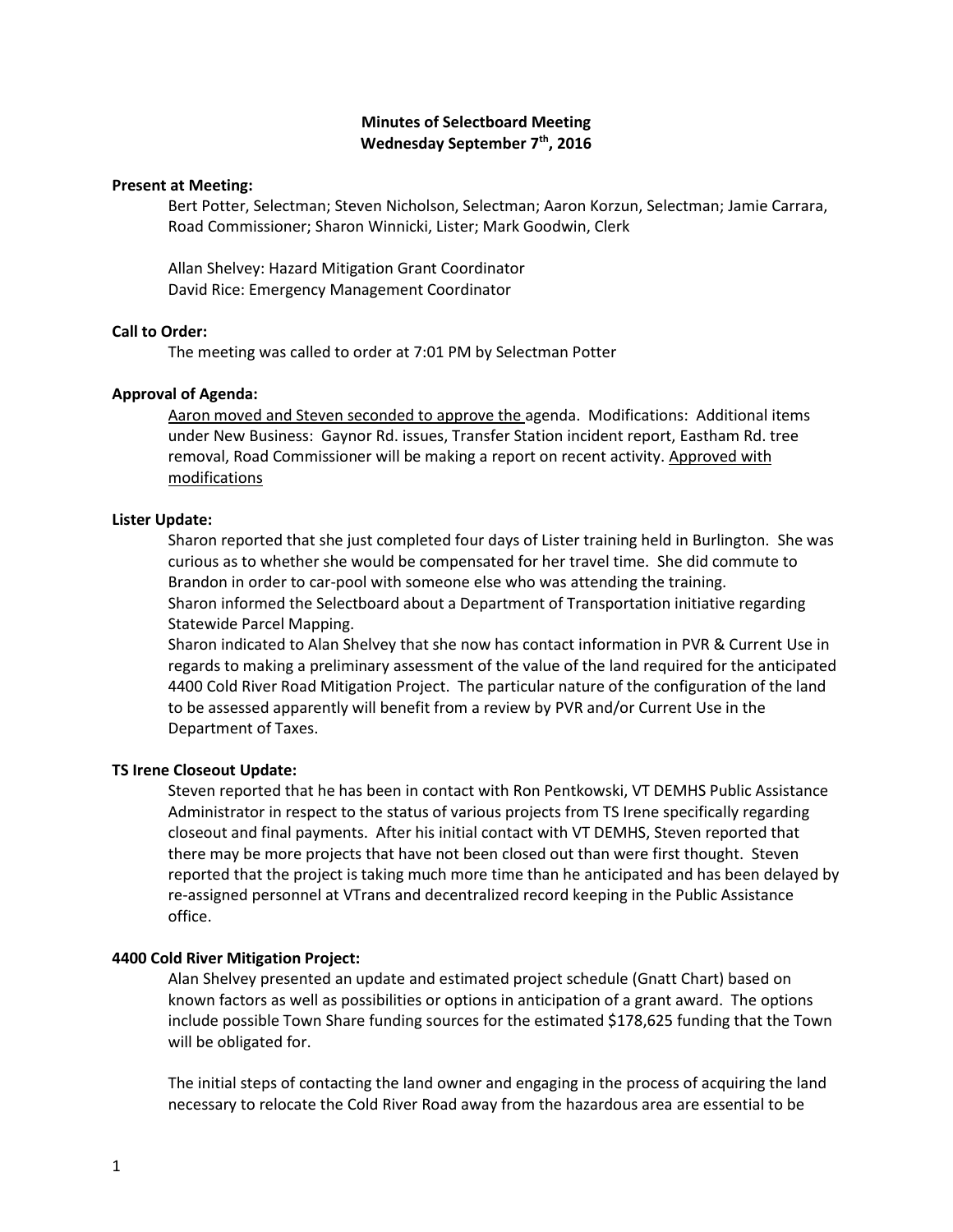# **Minutes of Selectboard Meeting Wednesday September 7 th, 2016**

### **Present at Meeting:**

Bert Potter, Selectman; Steven Nicholson, Selectman; Aaron Korzun, Selectman; Jamie Carrara, Road Commissioner; Sharon Winnicki, Lister; Mark Goodwin, Clerk

Allan Shelvey: Hazard Mitigation Grant Coordinator David Rice: Emergency Management Coordinator

## **Call to Order:**

The meeting was called to order at 7:01 PM by Selectman Potter

## **Approval of Agenda:**

Aaron moved and Steven seconded to approve the agenda. Modifications: Additional items under New Business: Gaynor Rd. issues, Transfer Station incident report, Eastham Rd. tree removal, Road Commissioner will be making a report on recent activity. Approved with modifications

## **Lister Update:**

Sharon reported that she just completed four days of Lister training held in Burlington. She was curious as to whether she would be compensated for her travel time. She did commute to Brandon in order to car-pool with someone else who was attending the training. Sharon informed the Selectboard about a Department of Transportation initiative regarding Statewide Parcel Mapping.

Sharon indicated to Alan Shelvey that she now has contact information in PVR & Current Use in regards to making a preliminary assessment of the value of the land required for the anticipated 4400 Cold River Road Mitigation Project. The particular nature of the configuration of the land to be assessed apparently will benefit from a review by PVR and/or Current Use in the Department of Taxes.

# **TS Irene Closeout Update:**

Steven reported that he has been in contact with Ron Pentkowski, VT DEMHS Public Assistance Administrator in respect to the status of various projects from TS Irene specifically regarding closeout and final payments. After his initial contact with VT DEMHS, Steven reported that there may be more projects that have not been closed out than were first thought. Steven reported that the project is taking much more time than he anticipated and has been delayed by re-assigned personnel at VTrans and decentralized record keeping in the Public Assistance office.

# **4400 Cold River Mitigation Project:**

Alan Shelvey presented an update and estimated project schedule (Gnatt Chart) based on known factors as well as possibilities or options in anticipation of a grant award. The options include possible Town Share funding sources for the estimated \$178,625 funding that the Town will be obligated for.

The initial steps of contacting the land owner and engaging in the process of acquiring the land necessary to relocate the Cold River Road away from the hazardous area are essential to be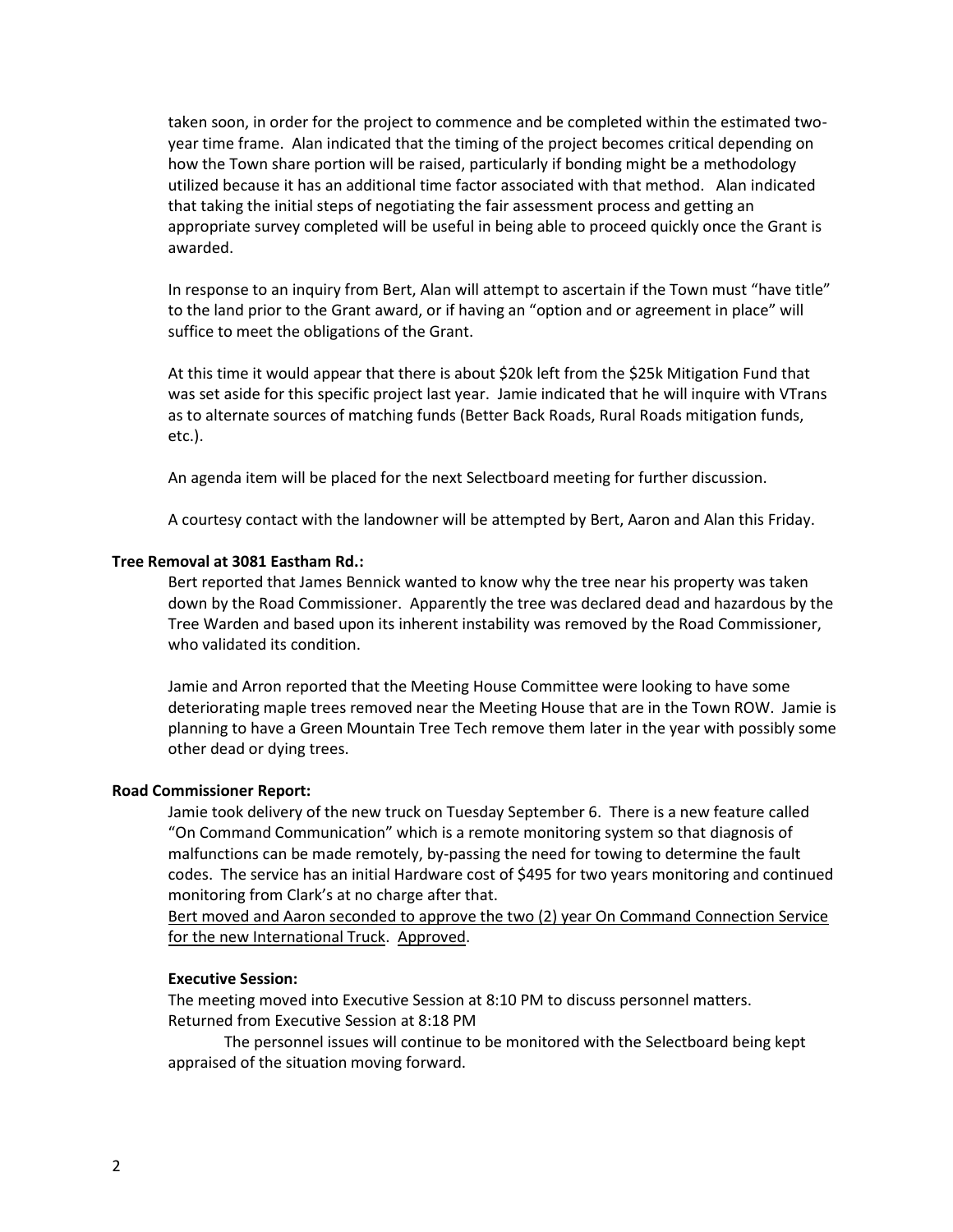taken soon, in order for the project to commence and be completed within the estimated twoyear time frame. Alan indicated that the timing of the project becomes critical depending on how the Town share portion will be raised, particularly if bonding might be a methodology utilized because it has an additional time factor associated with that method. Alan indicated that taking the initial steps of negotiating the fair assessment process and getting an appropriate survey completed will be useful in being able to proceed quickly once the Grant is awarded.

In response to an inquiry from Bert, Alan will attempt to ascertain if the Town must "have title" to the land prior to the Grant award, or if having an "option and or agreement in place" will suffice to meet the obligations of the Grant.

At this time it would appear that there is about \$20k left from the \$25k Mitigation Fund that was set aside for this specific project last year. Jamie indicated that he will inquire with VTrans as to alternate sources of matching funds (Better Back Roads, Rural Roads mitigation funds, etc.).

An agenda item will be placed for the next Selectboard meeting for further discussion.

A courtesy contact with the landowner will be attempted by Bert, Aaron and Alan this Friday.

#### **Tree Removal at 3081 Eastham Rd.:**

Bert reported that James Bennick wanted to know why the tree near his property was taken down by the Road Commissioner. Apparently the tree was declared dead and hazardous by the Tree Warden and based upon its inherent instability was removed by the Road Commissioner, who validated its condition.

Jamie and Arron reported that the Meeting House Committee were looking to have some deteriorating maple trees removed near the Meeting House that are in the Town ROW. Jamie is planning to have a Green Mountain Tree Tech remove them later in the year with possibly some other dead or dying trees.

#### **Road Commissioner Report:**

Jamie took delivery of the new truck on Tuesday September 6. There is a new feature called "On Command Communication" which is a remote monitoring system so that diagnosis of malfunctions can be made remotely, by-passing the need for towing to determine the fault codes. The service has an initial Hardware cost of \$495 for two years monitoring and continued monitoring from Clark's at no charge after that.

Bert moved and Aaron seconded to approve the two (2) year On Command Connection Service for the new International Truck. Approved.

### **Executive Session:**

The meeting moved into Executive Session at 8:10 PM to discuss personnel matters. Returned from Executive Session at 8:18 PM

The personnel issues will continue to be monitored with the Selectboard being kept appraised of the situation moving forward.